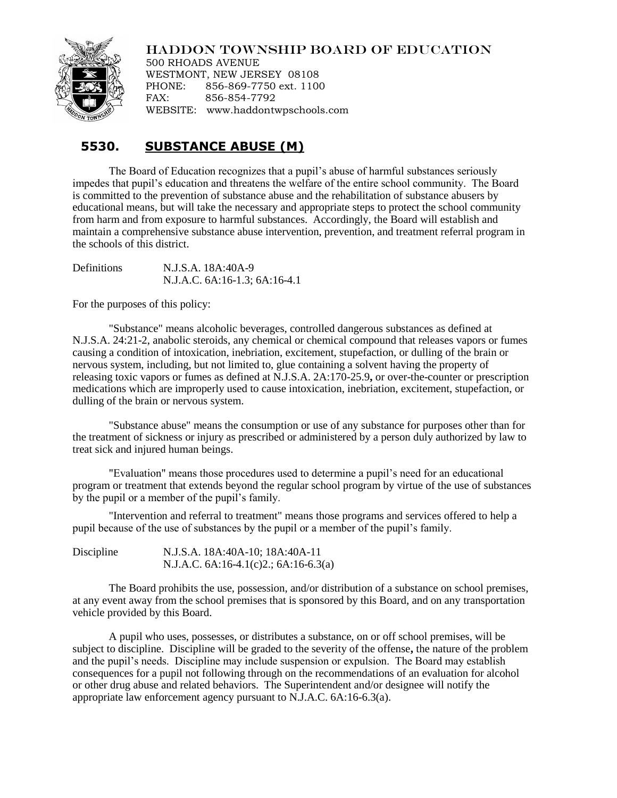## HADDON TOWNSHIP BOARD OF EDUCATION



500 RHOADS AVENUE WESTMONT, NEW JERSEY 08108 PHONE: 856-869-7750 ext. 1100 FAX: 856-854-7792 WEBSITE: www.haddontwpschools.com

## **5530. SUBSTANCE ABUSE (M)**

The Board of Education recognizes that a pupil's abuse of harmful substances seriously impedes that pupil's education and threatens the welfare of the entire school community. The Board is committed to the prevention of substance abuse and the rehabilitation of substance abusers by educational means, but will take the necessary and appropriate steps to protect the school community from harm and from exposure to harmful substances. Accordingly, the Board will establish and maintain a comprehensive substance abuse intervention, prevention, and treatment referral program in the schools of this district.

Definitions N.J.S.A. 18A:40A-9 N.J.A.C. 6A:16-1.3; 6A:16-4.1

For the purposes of this policy:

"Substance" means alcoholic beverages, controlled dangerous substances as defined at N.J.S.A. 24:21-2, anabolic steroids, any chemical or chemical compound that releases vapors or fumes causing a condition of intoxication, inebriation, excitement, stupefaction, or dulling of the brain or nervous system, including, but not limited to, glue containing a solvent having the property of releasing toxic vapors or fumes as defined at N.J.S.A. 2A:170-25.9**,** or over-the-counter or prescription medications which are improperly used to cause intoxication, inebriation, excitement, stupefaction, or dulling of the brain or nervous system.

"Substance abuse" means the consumption or use of any substance for purposes other than for the treatment of sickness or injury as prescribed or administered by a person duly authorized by law to treat sick and injured human beings.

"Evaluation" means those procedures used to determine a pupil's need for an educational program or treatment that extends beyond the regular school program by virtue of the use of substances by the pupil or a member of the pupil's family.

"Intervention and referral to treatment" means those programs and services offered to help a pupil because of the use of substances by the pupil or a member of the pupil's family.

| Discipline | N.J.S.A. 18A:40A-10; 18A:40A-11            |  |
|------------|--------------------------------------------|--|
|            | N.J.A.C. $6A:16-4.1(c)2$ .; $6A:16-6.3(a)$ |  |

The Board prohibits the use, possession, and/or distribution of a substance on school premises, at any event away from the school premises that is sponsored by this Board, and on any transportation vehicle provided by this Board.

A pupil who uses, possesses, or distributes a substance, on or off school premises, will be subject to discipline. Discipline will be graded to the severity of the offense**,** the nature of the problem and the pupil's needs. Discipline may include suspension or expulsion. The Board may establish consequences for a pupil not following through on the recommendations of an evaluation for alcohol or other drug abuse and related behaviors. The Superintendent and/or designee will notify the appropriate law enforcement agency pursuant to N.J.A.C. 6A:16-6.3(a).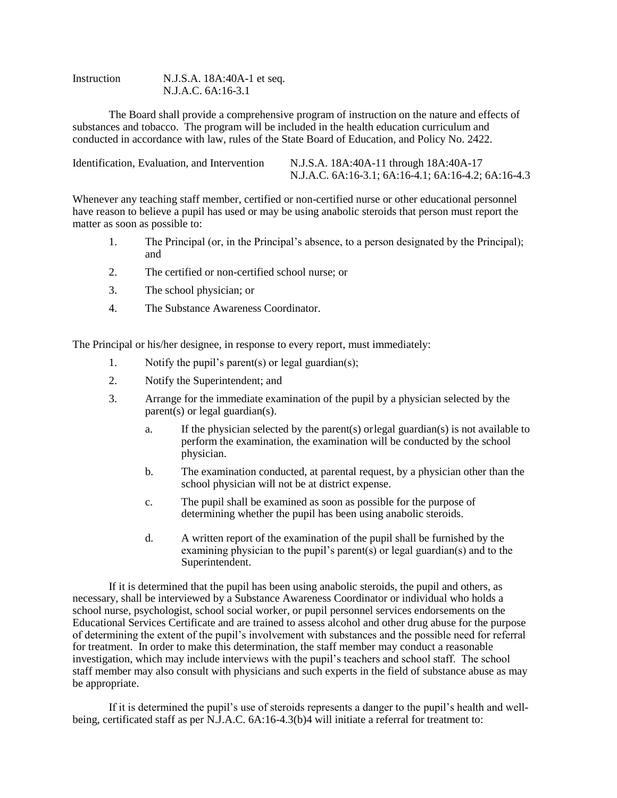Instruction N.J.S.A. 18A:40A-1 et seq. N.J.A.C. 6A:16-3.1

The Board shall provide a comprehensive program of instruction on the nature and effects of substances and tobacco. The program will be included in the health education curriculum and conducted in accordance with law, rules of the State Board of Education, and Policy No. 2422.

| Identification, Evaluation, and Intervention | N.J.S.A. 18A:40A-11 through 18A:40A-17              |
|----------------------------------------------|-----------------------------------------------------|
|                                              | N.J.A.C. 6A:16-3.1; 6A:16-4.1; 6A:16-4.2; 6A:16-4.3 |

Whenever any teaching staff member, certified or non-certified nurse or other educational personnel have reason to believe a pupil has used or may be using anabolic steroids that person must report the matter as soon as possible to:

- 1. The Principal (or, in the Principal's absence, to a person designated by the Principal); and
- 2. The certified or non-certified school nurse; or
- 3. The school physician; or
- 4. The Substance Awareness Coordinator.

The Principal or his/her designee, in response to every report, must immediately:

- 1. Notify the pupil's parent(s) or legal guardian(s);
- 2. Notify the Superintendent; and
- 3. Arrange for the immediate examination of the pupil by a physician selected by the parent(s) or legal guardian(s).
	- a. If the physician selected by the parent(s) or legal guardian(s) is not available to perform the examination, the examination will be conducted by the school physician.
	- b. The examination conducted, at parental request, by a physician other than the school physician will not be at district expense.
	- c. The pupil shall be examined as soon as possible for the purpose of determining whether the pupil has been using anabolic steroids.
	- d. A written report of the examination of the pupil shall be furnished by the examining physician to the pupil's parent(s) or legal guardian(s) and to the Superintendent.

If it is determined that the pupil has been using anabolic steroids, the pupil and others, as necessary, shall be interviewed by a Substance Awareness Coordinator or individual who holds a school nurse, psychologist, school social worker, or pupil personnel services endorsements on the Educational Services Certificate and are trained to assess alcohol and other drug abuse for the purpose of determining the extent of the pupil's involvement with substances and the possible need for referral for treatment. In order to make this determination, the staff member may conduct a reasonable investigation, which may include interviews with the pupil's teachers and school staff. The school staff member may also consult with physicians and such experts in the field of substance abuse as may be appropriate.

If it is determined the pupil's use of steroids represents a danger to the pupil's health and wellbeing, certificated staff as per N.J.A.C. 6A:16-4.3(b)4 will initiate a referral for treatment to: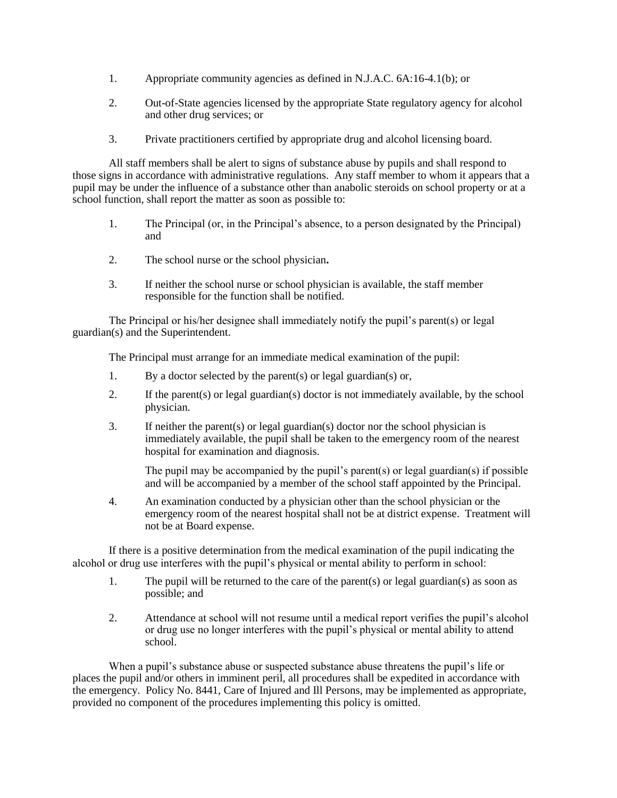- 1. Appropriate community agencies as defined in N.J.A.C. 6A:16-4.1(b); or
- 2. Out-of-State agencies licensed by the appropriate State regulatory agency for alcohol and other drug services; or
- 3. Private practitioners certified by appropriate drug and alcohol licensing board.

All staff members shall be alert to signs of substance abuse by pupils and shall respond to those signs in accordance with administrative regulations. Any staff member to whom it appears that a pupil may be under the influence of a substance other than anabolic steroids on school property or at a school function, shall report the matter as soon as possible to:

- 1. The Principal (or, in the Principal's absence, to a person designated by the Principal) and
- 2. The school nurse or the school physician**.**
- 3. If neither the school nurse or school physician is available, the staff member responsible for the function shall be notified.

The Principal or his/her designee shall immediately notify the pupil's parent(s) or legal guardian(s) and the Superintendent.

The Principal must arrange for an immediate medical examination of the pupil:

- 1. By a doctor selected by the parent(s) or legal guardian(s) or,
- 2. If the parent(s) or legal guardian(s) doctor is not immediately available, by the school physician.
- 3. If neither the parent(s) or legal guardian(s) doctor nor the school physician is immediately available, the pupil shall be taken to the emergency room of the nearest hospital for examination and diagnosis.

The pupil may be accompanied by the pupil's parent(s) or legal guardian(s) if possible and will be accompanied by a member of the school staff appointed by the Principal.

4. An examination conducted by a physician other than the school physician or the emergency room of the nearest hospital shall not be at district expense. Treatment will not be at Board expense.

If there is a positive determination from the medical examination of the pupil indicating the alcohol or drug use interferes with the pupil's physical or mental ability to perform in school:

- 1. The pupil will be returned to the care of the parent(s) or legal guardian(s) as soon as possible; and
- 2. Attendance at school will not resume until a medical report verifies the pupil's alcohol or drug use no longer interferes with the pupil's physical or mental ability to attend school.

When a pupil's substance abuse or suspected substance abuse threatens the pupil's life or places the pupil and/or others in imminent peril, all procedures shall be expedited in accordance with the emergency. Policy No. 8441, Care of Injured and Ill Persons, may be implemented as appropriate, provided no component of the procedures implementing this policy is omitted.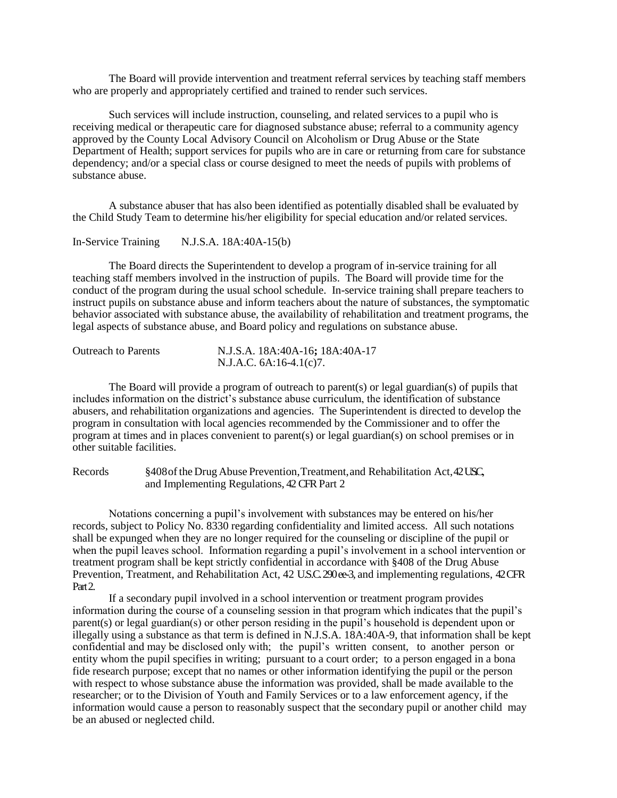The Board will provide intervention and treatment referral services by teaching staff members who are properly and appropriately certified and trained to render such services.

Such services will include instruction, counseling, and related services to a pupil who is receiving medical or therapeutic care for diagnosed substance abuse; referral to a community agency approved by the County Local Advisory Council on Alcoholism or Drug Abuse or the State Department of Health; support services for pupils who are in care or returning from care for substance dependency; and/or a special class or course designed to meet the needs of pupils with problems of substance abuse.

A substance abuser that has also been identified as potentially disabled shall be evaluated by the Child Study Team to determine his/her eligibility for special education and/or related services.

In-Service Training N.J.S.A. 18A:40A-15(b)

The Board directs the Superintendent to develop a program of in-service training for all teaching staff members involved in the instruction of pupils. The Board will provide time for the conduct of the program during the usual school schedule. In-service training shall prepare teachers to instruct pupils on substance abuse and inform teachers about the nature of substances, the symptomatic behavior associated with substance abuse, the availability of rehabilitation and treatment programs, the legal aspects of substance abuse, and Board policy and regulations on substance abuse.

| <b>Outreach to Parents</b> | N.J.S.A. 18A:40A-16; 18A:40A-17 |
|----------------------------|---------------------------------|
|                            | N.J.A.C. 6A:16-4.1(c)7.         |

The Board will provide a program of outreach to parent(s) or legal guardian(s) of pupils that includes information on the district's substance abuse curriculum, the identification of substance abusers, and rehabilitation organizations and agencies. The Superintendent is directed to develop the program in consultation with local agencies recommended by the Commissioner and to offer the program at times and in places convenient to parent(s) or legal guardian(s) on school premises or in other suitable facilities.

Records §408 of the Drug Abuse Prevention, Treatment, and Rehabilitation Act, 42 USC, and Implementing Regulations, 42CFRPart 2

Notations concerning a pupil's involvement with substances may be entered on his/her records, subject to Policy No. 8330 regarding confidentiality and limited access. All such notations shall be expunged when they are no longer required for the counseling or discipline of the pupil or when the pupil leaves school. Information regarding a pupil's involvement in a school intervention or treatment program shall be kept strictly confidential in accordance with §408 of the Drug Abuse Prevention, Treatment, and Rehabilitation Act, 42 U.S.C. 290ee-3, and implementing regulations, 42 CFR Part 2.

If a secondary pupil involved in a school intervention or treatment program provides information during the course of a counseling session in that program which indicates that the pupil's parent(s) or legal guardian(s) or other person residing in the pupil's household is dependent upon or illegally using a substance as that term is defined in N.J.S.A. 18A:40A-9, that information shall be kept confidential and may be disclosed only with; the pupil's written consent, to another person or entity whom the pupil specifies in writing; pursuant to a court order; to a person engaged in a bona fide research purpose; except that no names or other information identifying the pupil or the person with respect to whose substance abuse the information was provided, shall be made available to the researcher; or to the Division of Youth and Family Services or to a law enforcement agency, if the information would cause a person to reasonably suspect that the secondary pupil or another child may be an abused or neglected child.